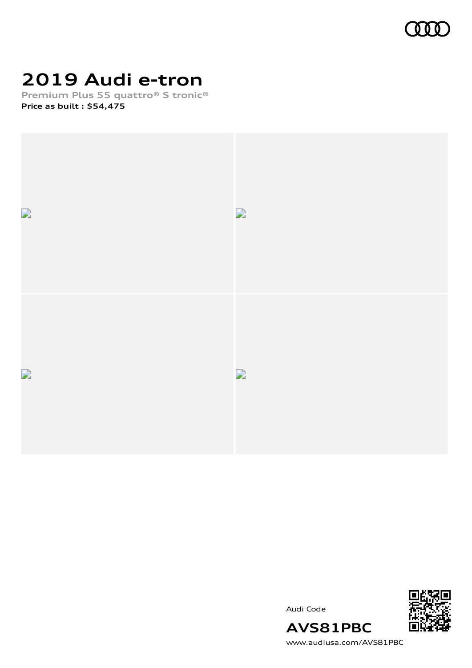

# **2019 Audi e-tron**

**Premium Plus 55 quattro® S tronic® Price as built [:](#page-8-0) \$54,475**





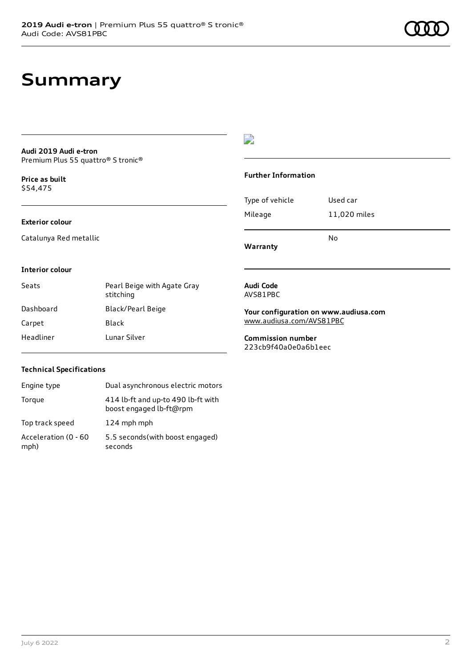# **Summary**

#### **Audi 2019 Audi e-tron** Premium Plus 55 quattro® S tronic®

**Price as buil[t](#page-8-0)** \$54,475

## $\overline{\phantom{a}}$

### **Further Information**

### **Exterior colour**

Catalunya Red metallic

Type of vehicle Used car Mileage 11,020 miles No

**Warranty**

### **Interior colour**

| Seats     | Pearl Beige with Agate Gray<br>stitching |
|-----------|------------------------------------------|
| Dashboard | Black/Pearl Beige                        |
| Carpet    | Black                                    |
| Headliner | Lunar Silver                             |

#### **Audi Code** AVS81PBC

**Your configuration on www.audiusa.com**

[www.audiusa.com/AVS81PBC](https://www.audiusa.com/AVS81PBC)

**Commission number** 223cb9f40a0e0a6b1eec

### **Technical Specifications**

| Engine type                  | Dual asynchronous electric motors                             |
|------------------------------|---------------------------------------------------------------|
| Torque                       | 414 lb-ft and up-to 490 lb-ft with<br>boost engaged lb-ft@rpm |
| Top track speed              | 124 mph mph                                                   |
| Acceleration (0 - 60<br>mph) | 5.5 seconds (with boost engaged)<br>seconds                   |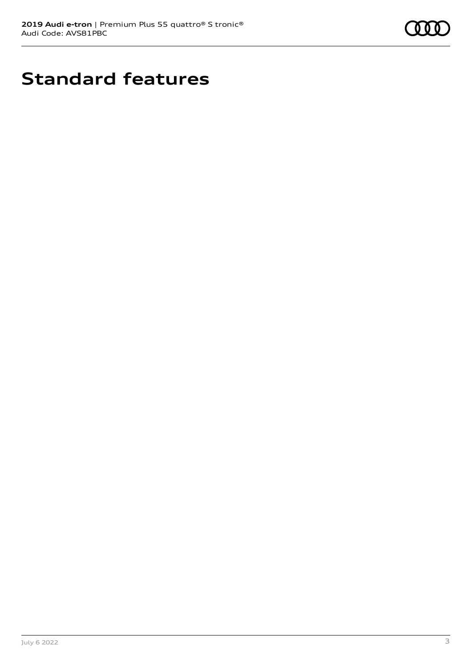

# **Standard features**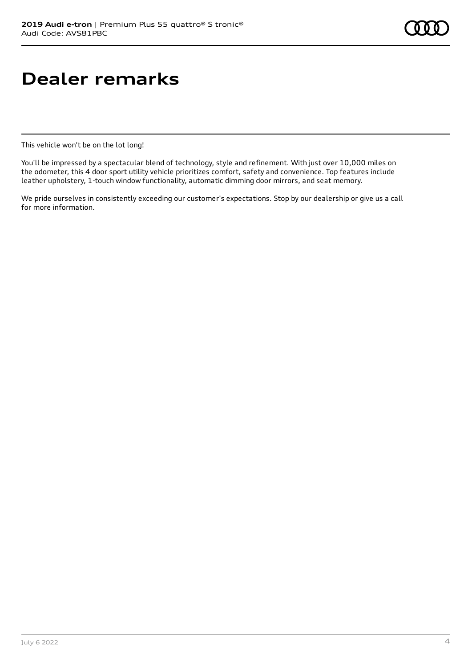# **Dealer remarks**

This vehicle won't be on the lot long!

You'll be impressed by a spectacular blend of technology, style and refinement. With just over 10,000 miles on the odometer, this 4 door sport utility vehicle prioritizes comfort, safety and convenience. Top features include leather upholstery, 1-touch window functionality, automatic dimming door mirrors, and seat memory.

We pride ourselves in consistently exceeding our customer's expectations. Stop by our dealership or give us a call for more information.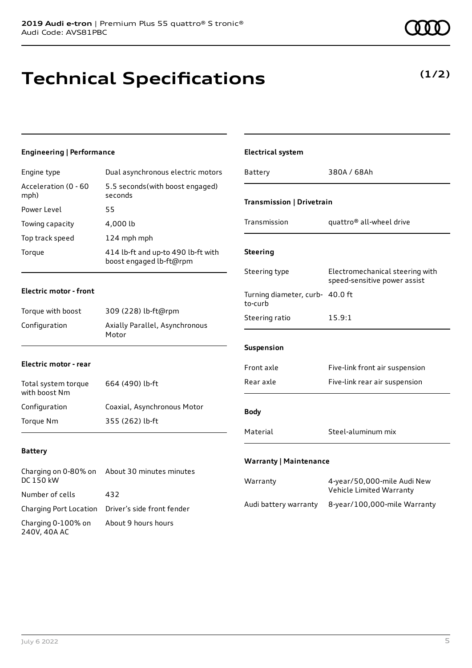**Technical Specifications**

# **Engineering | Performance**

| Engine type                  | Dual asynchronous electric motors                             |
|------------------------------|---------------------------------------------------------------|
| Acceleration (0 - 60<br>mph) | 5.5 seconds (with boost engaged)<br>seconds                   |
| Power Level                  | 55                                                            |
| Towing capacity              | 4,000 lb                                                      |
| Top track speed              | 124 mph mph                                                   |
| Torque                       | 414 lb-ft and up-to 490 lb-ft with<br>boost engaged lb-ft@rpm |

## **Electric motor - front**

| Torque with boost | 309 (228) lb-ft@rpm                     |
|-------------------|-----------------------------------------|
| Configuration     | Axially Parallel, Asynchronous<br>Motor |

### **Electric motor - rear**

| Total system torque<br>with boost Nm | 664 (490) lb-ft             |
|--------------------------------------|-----------------------------|
| Configuration                        | Coaxial, Asynchronous Motor |
| Torque Nm                            | 355 (262) lb-ft             |

### **Battery**

| DC 150 kW                          | Charging on 0-80% on About 30 minutes minutes     |
|------------------------------------|---------------------------------------------------|
| Number of cells                    | 432                                               |
|                                    | Charging Port Location Driver's side front fender |
| Charging 0-100% on<br>240V, 40A AC | About 9 hours hours                               |

| <b>Electrical system</b>                   |                                                                 |  |
|--------------------------------------------|-----------------------------------------------------------------|--|
| Battery                                    | 380A / 68Ah                                                     |  |
| Transmission   Drivetrain                  |                                                                 |  |
| Transmission                               | quattro® all-wheel drive                                        |  |
| <b>Steering</b>                            |                                                                 |  |
| Steering type                              | Electromechanical steering with<br>speed-sensitive power assist |  |
| Turning diameter, curb- 40.0 ft<br>to-curb |                                                                 |  |
| Steering ratio                             | 15.9:1                                                          |  |
| Suspension                                 |                                                                 |  |
| Front axle                                 | Five-link front air suspension                                  |  |
| Rear axle                                  | Five-link rear air suspension                                   |  |
| <b>Body</b>                                |                                                                 |  |
| Material                                   | Steel-aluminum mix                                              |  |
| <b>Warranty   Maintenance</b>              |                                                                 |  |
| Warranty                                   | 4-year/50,000-mile Audi New<br>Vehicle Limited Warranty         |  |
| Audi battery warranty                      | 8-year/100,000-mile Warranty                                    |  |

**(1/2)**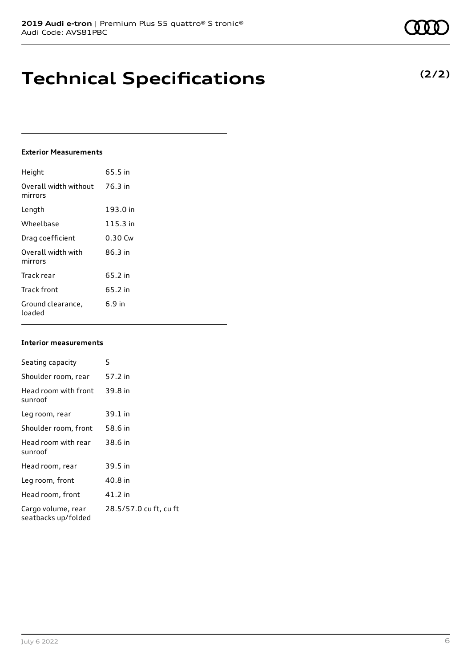# **Technical Specifications**

### **Exterior Measurements**

| Height                           | 65.5 in  |
|----------------------------------|----------|
| Overall width without<br>mirrors | 76.3 in  |
| Length                           | 193.0 in |
| Wheelbase                        | 115.3 in |
| Drag coefficient                 | 0.30 Cw  |
| Overall width with<br>mirrors    | 86.3 in  |
| Track rear                       | 65.2 in  |
| Track front                      | 65.2 in  |
| Ground clearance,<br>loaded      | $6.9$ in |

#### **Interior measurements**

| Seating capacity                          | 5                      |
|-------------------------------------------|------------------------|
| Shoulder room, rear                       | 57.2 in                |
| Head room with front<br>sunroof           | 39.8 in                |
| Leg room, rear                            | 39.1 in                |
| Shoulder room, front                      | 58.6 in                |
| Head room with rear<br>sunroof            | 38.6 in                |
| Head room, rear                           | 39.5 in                |
| Leg room, front                           | 40.8 in                |
| Head room, front                          | 41.2 in                |
| Cargo volume, rear<br>seatbacks up/folded | 28.5/57.0 cu ft, cu ft |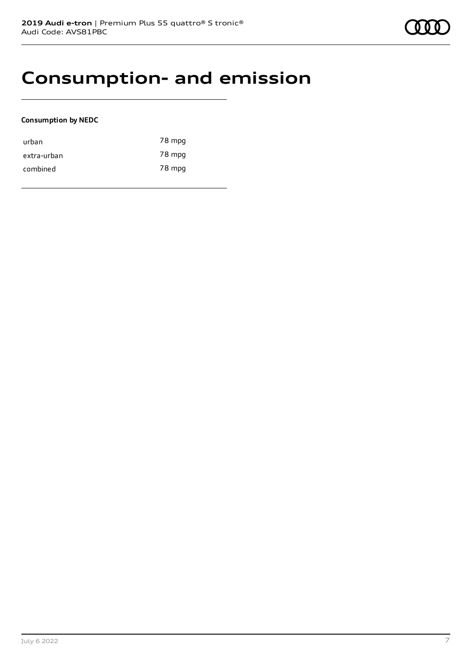# **Consumption- and emission**

### **Consumption by NEDC**

| urban       | 78 mpg |
|-------------|--------|
| extra-urban | 78 mpg |
| combined    | 78 mpg |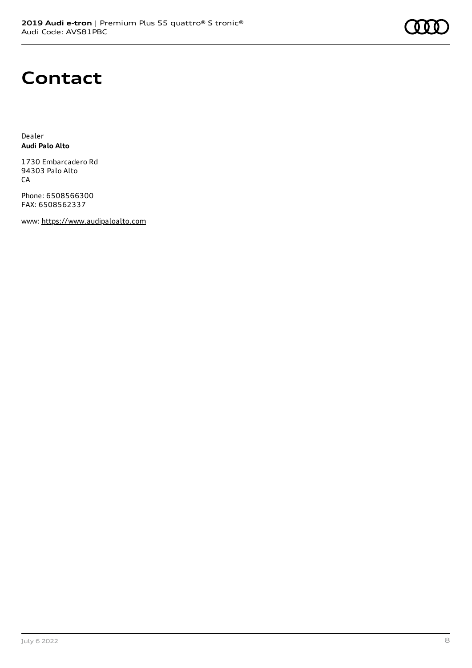# **Contact**

Dealer **Audi Palo Alto**

1730 Embarcadero Rd 94303 Palo Alto CA

Phone: 6508566300 FAX: 6508562337

www: [https://www.audipaloalto.com](https://www.audipaloalto.com/)